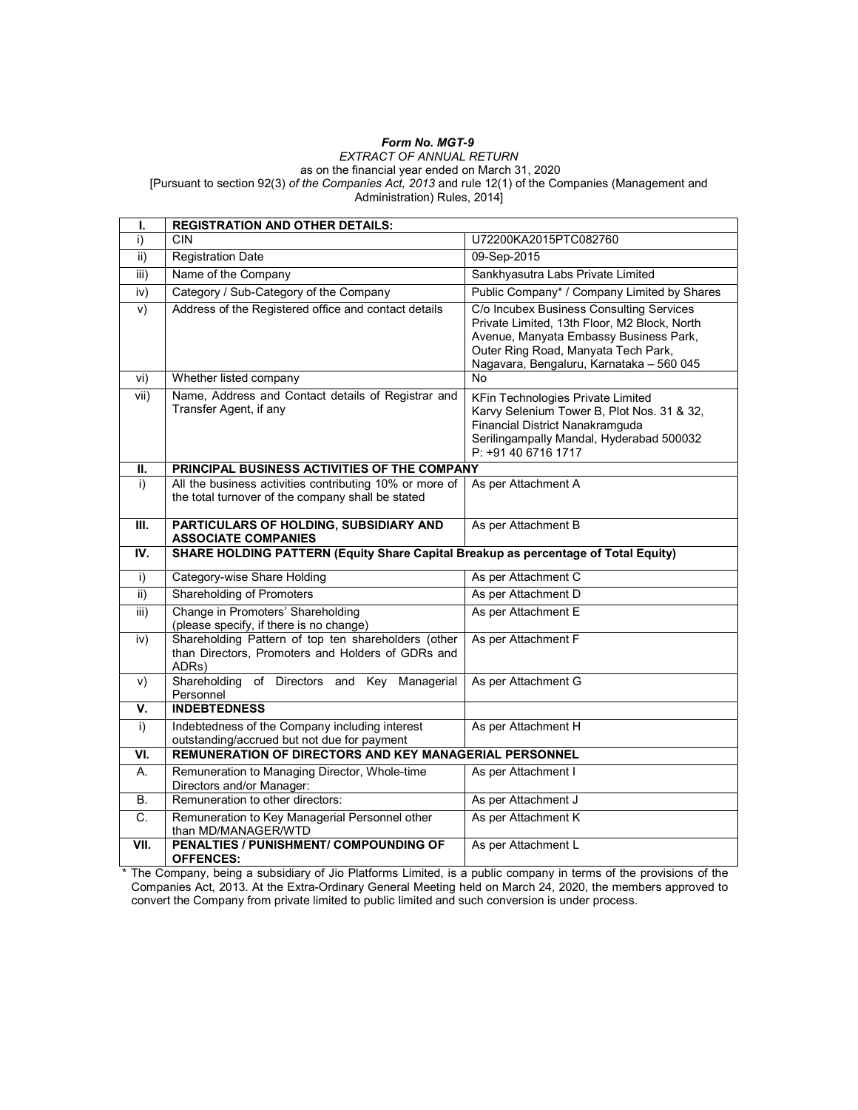## Form No. MGT-9

#### EXTRACT OF ANNUAL RETURN as on the financial year ended on March 31, 2020 [Pursuant to section 92(3) of the Companies Act, 2013 and rule 12(1) of the Companies (Management and Administration) Rules, 2014]

I. REGISTRATION AND OTHER DETAILS: i) CIN U72200KA2015PTC082760 ii) Registration Date 09-Sep-2015 iii) Name of the Company Sankhyasutra Labs Private Limited iv) Category / Sub-Category of the Company Public Company\* / Company Limited by Shares v) Address of the Registered office and contact details C/o Incubex Business Consulting Services Private Limited, 13th Floor, M2 Block, North Avenue, Manyata Embassy Business Park, Outer Ring Road, Manyata Tech Park, Nagavara, Bengaluru, Karnataka – 560 045 vi) Whether listed company No vii) Name, Address and Contact details of Registrar and Transfer Agent, if any KFin Technologies Private Limited Karvy Selenium Tower B, Plot Nos. 31 & 32, Financial District Nanakramguda Serilingampally Mandal, Hyderabad 500032 P: +91 40 6716 1717 II. | PRINCIPAL BUSINESS ACTIVITIES OF THE COMPANY i) All the business activities contributing 10% or more of the total turnover of the company shall be stated As per Attachment A III. PARTICULARS OF HOLDING, SUBSIDIARY AND ASSOCIATE COMPANIES As per Attachment B IV. SHARE HOLDING PATTERN (Equity Share Capital Breakup as percentage of Total Equity) i) Category-wise Share Holding As per Attachment C ii) Shareholding of Promoters As per Attachment D iii) Change in Promoters' Shareholding (please specify, if there is no change) As per Attachment E iv) Shareholding Pattern of top ten shareholders (other than Directors, Promoters and Holders of GDRs and ADRs) As per Attachment F v) Shareholding of Directors and Key Managerial Personnel As per Attachment G **V.** INDEBTEDNESS i) Indebtedness of the Company including interest outstanding/accrued but not due for payment As per Attachment H VI. REMUNERATION OF DIRECTORS AND KEY MANAGERIAL PERSONNEL A. Remuneration to Managing Director, Whole-time Directors and/or Manager: As per Attachment I B. Remuneration to other directors: As per Attachment J C. Remuneration to Key Managerial Personnel other than MD/MANAGER/WTD As per Attachment K VII. PENALTIES / PUNISHMENT/ COMPOUNDING OF OFFENCES: As per Attachment L

The Company, being a subsidiary of Jio Platforms Limited, is a public company in terms of the provisions of the Companies Act, 2013. At the Extra-Ordinary General Meeting held on March 24, 2020, the members approved to convert the Company from private limited to public limited and such conversion is under process.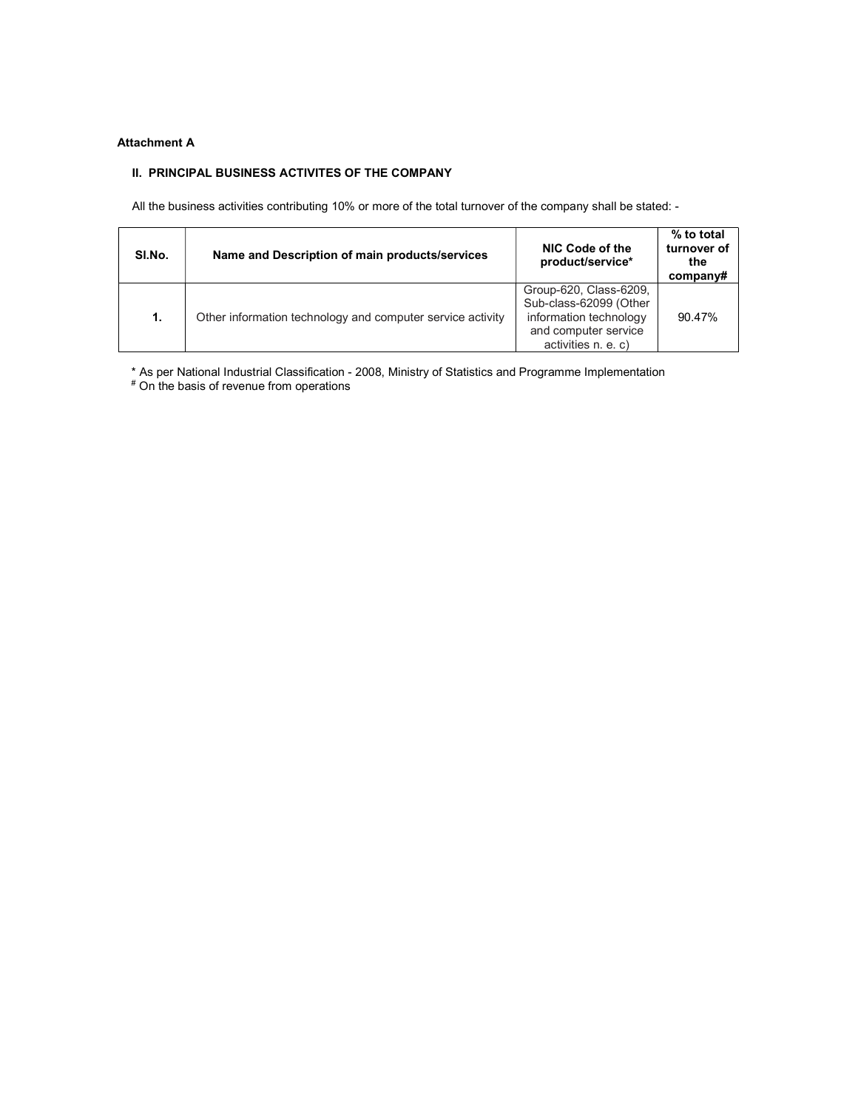## Attachment A

## II. PRINCIPAL BUSINESS ACTIVITES OF THE COMPANY

All the business activities contributing 10% or more of the total turnover of the company shall be stated: -

| SI.No. | Name and Description of main products/services             | NIC Code of the<br>product/service*                                                                                       | % to total<br>turnover of<br>the<br>companv# |
|--------|------------------------------------------------------------|---------------------------------------------------------------------------------------------------------------------------|----------------------------------------------|
| 1.     | Other information technology and computer service activity | Group-620, Class-6209,<br>Sub-class-62099 (Other<br>information technology<br>and computer service<br>activities n. e. c) | 90.47%                                       |

\* As per National Industrial Classification - 2008, Ministry of Statistics and Programme Implementation # On the basis of revenue from operations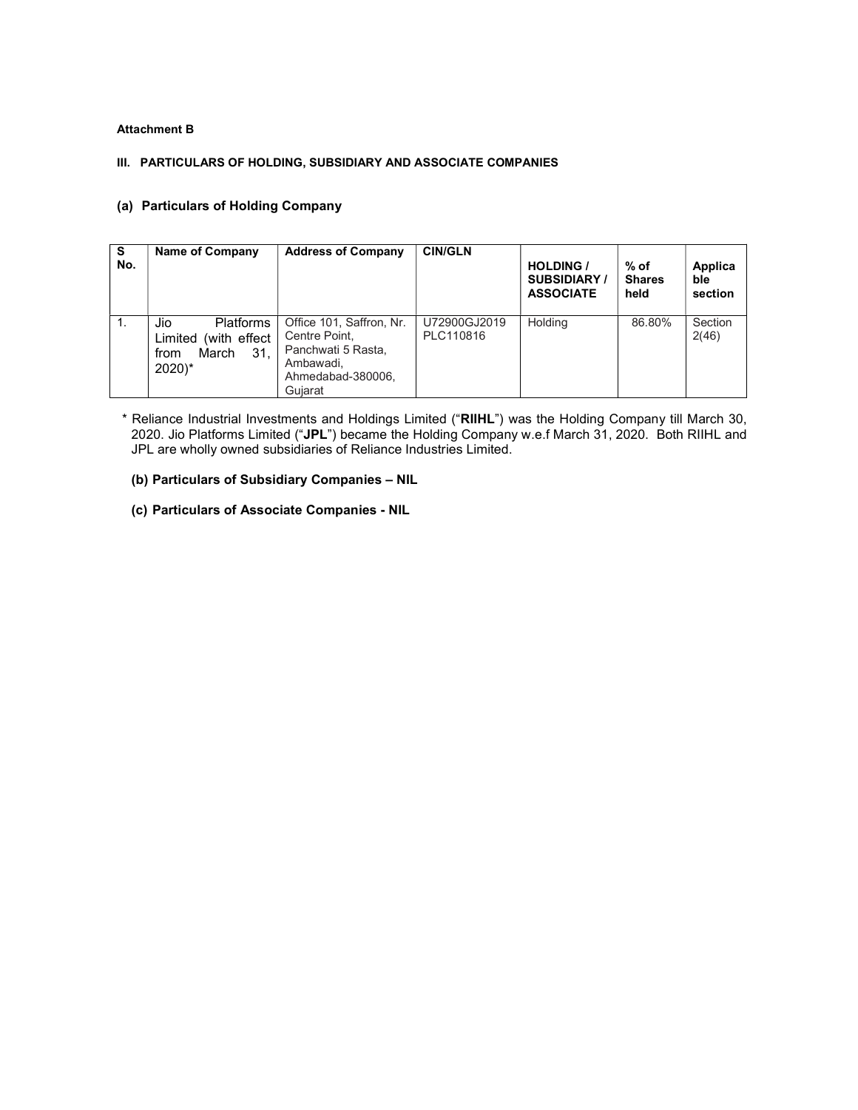#### Attachment B

#### III. PARTICULARS OF HOLDING, SUBSIDIARY AND ASSOCIATE COMPANIES

#### (a) Particulars of Holding Company

| S<br>No. | Name of Company                                                                             | <b>Address of Company</b>                                                                                    | <b>CIN/GLN</b>            | <b>HOLDING /</b><br><b>SUBSIDIARY/</b><br><b>ASSOCIATE</b> | $%$ of<br><b>Shares</b><br>held | Applica<br><b>ble</b><br>section |
|----------|---------------------------------------------------------------------------------------------|--------------------------------------------------------------------------------------------------------------|---------------------------|------------------------------------------------------------|---------------------------------|----------------------------------|
| 1.       | Platforms<br>Jio<br>(with effect)<br>Limited<br>31.<br>March<br>from<br>$2020$ <sup>*</sup> | Office 101, Saffron, Nr.<br>Centre Point,<br>Panchwati 5 Rasta,<br>Ambawadi.<br>Ahmedabad-380006.<br>Guiarat | U72900GJ2019<br>PLC110816 | Holding                                                    | 86.80%                          | Section<br>2(46)                 |

\* Reliance Industrial Investments and Holdings Limited ("RIIHL") was the Holding Company till March 30, 2020. Jio Platforms Limited ("JPL") became the Holding Company w.e.f March 31, 2020. Both RIIHL and JPL are wholly owned subsidiaries of Reliance Industries Limited.

## (b) Particulars of Subsidiary Companies – NIL

(c) Particulars of Associate Companies - NIL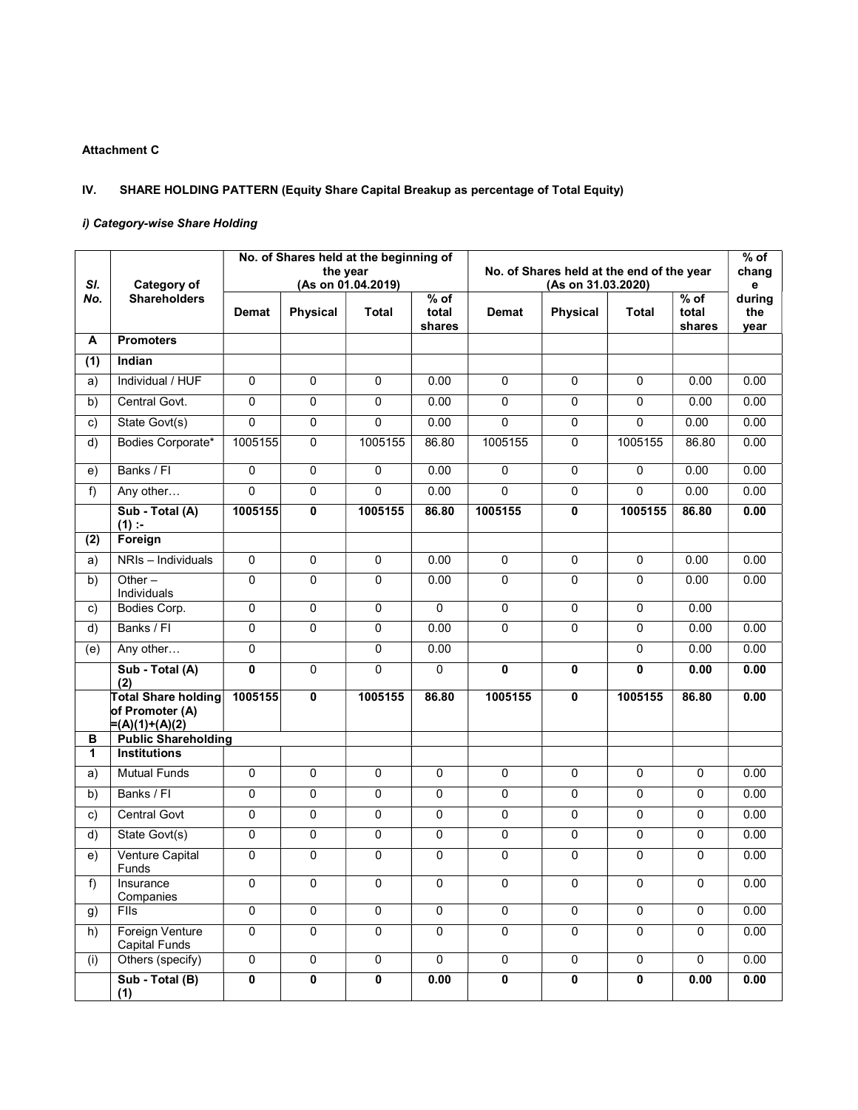## Attachment C

# IV. SHARE HOLDING PATTERN (Equity Share Capital Breakup as percentage of Total Equity)

## i) Category-wise Share Holding

| SI.                  | <b>Category of</b>                                                      |                         | No. of Shares held at the beginning of<br>the year | (As on 01.04.2019)      |                           |                         | No. of Shares held at the end of the year<br>(As on 31.03.2020) |                |                           | $\overline{\%}$ of<br>chang<br>e |
|----------------------|-------------------------------------------------------------------------|-------------------------|----------------------------------------------------|-------------------------|---------------------------|-------------------------|-----------------------------------------------------------------|----------------|---------------------------|----------------------------------|
| No.                  | <b>Shareholders</b>                                                     | <b>Demat</b>            | Physical                                           | Total                   | $%$ of<br>total<br>shares | Demat                   | Physical                                                        | Total          | $%$ of<br>total<br>shares | during<br>the<br>year            |
| А                    | <b>Promoters</b>                                                        |                         |                                                    |                         |                           |                         |                                                                 |                |                           |                                  |
| (1)                  | Indian                                                                  |                         |                                                    |                         |                           |                         |                                                                 |                |                           |                                  |
| a)                   | Individual / HUF                                                        | $\overline{0}$          | $\overline{0}$                                     | $\Omega$                | 0.00                      | $\Omega$                | $\overline{0}$                                                  | $\Omega$       | 0.00                      | 0.00                             |
| b)                   | Central Govt.                                                           | 0                       | 0                                                  | 0                       | 0.00                      | 0                       | $\mathbf 0$                                                     | 0              | 0.00                      | 0.00                             |
| c)                   | State Govt(s)                                                           | $\mathbf 0$             | $\mathbf 0$                                        | 0                       | 0.00                      | 0                       | $\mathbf 0$                                                     | $\mathbf 0$    | 0.00                      | 0.00                             |
| d)                   | Bodies Corporate*                                                       | 1005155                 | $\Omega$                                           | 1005155                 | 86.80                     | 1005155                 | $\Omega$                                                        | 1005155        | 86.80                     | 0.00                             |
| e)                   | Banks / FI                                                              | $\overline{0}$          | $\mathbf 0$                                        | $\mathbf 0$             | 0.00                      | $\mathbf 0$             | $\mathbf 0$                                                     | $\mathbf 0$    | 0.00                      | 0.00                             |
| $f$ )                | Any other                                                               | $\overline{0}$          | $\overline{0}$                                     | 0                       | 0.00                      | 0                       | $\overline{0}$                                                  | $\Omega$       | 0.00                      | 0.00                             |
|                      | Sub - Total (A)<br>$(1)$ :                                              | 1005155                 | $\mathbf{0}$                                       | 1005155                 | 86.80                     | 1005155                 | 0                                                               | 1005155        | 86.80                     | 0.00                             |
| (2)                  | Foreign                                                                 |                         |                                                    |                         |                           |                         |                                                                 |                |                           |                                  |
| a)                   | NRIs - Individuals                                                      | $\overline{0}$          | $\Omega$                                           | $\overline{0}$          | 0.00                      | 0                       | 0                                                               | $\Omega$       | 0.00                      | 0.00                             |
| b)                   | Other $-$<br>Individuals                                                | 0                       | 0                                                  | 0                       | 0.00                      | 0                       | 0                                                               | 0              | 0.00                      | 0.00                             |
| c)                   | Bodies Corp.                                                            | $\pmb{0}$               | 0                                                  | 0                       | $\mathbf 0$               | 0                       | $\mathsf 0$                                                     | $\pmb{0}$      | 0.00                      |                                  |
| d)                   | Banks / FI                                                              | $\pmb{0}$               | $\Omega$                                           | $\mathsf 0$             | 0.00                      | $\mathsf 0$             | $\mathbf 0$                                                     | $\mathbf 0$    | 0.00                      | 0.00                             |
| (e)                  | Any other                                                               | $\mathbf 0$             |                                                    | $\mathbf 0$             | 0.00                      |                         |                                                                 | $\mathbf 0$    | 0.00                      | 0.00                             |
|                      | Sub - Total (A)<br>(2)                                                  | $\mathbf{0}$            | $\Omega$                                           | 0                       | $\mathbf 0$               | 0                       | 0                                                               | $\mathbf{0}$   | 0.00                      | 0.00                             |
|                      | <b>Total Share holding</b><br>of Promoter (A)<br>$\equiv$ (A)(1)+(A)(2) | 1005155                 | $\mathbf{0}$                                       | 1005155                 | 86.80                     | 1005155                 | 0                                                               | 1005155        | 86.80                     | 0.00                             |
| в<br>$\mathbf 1$     | <b>Public Shareholding</b><br><b>Institutions</b>                       |                         |                                                    |                         |                           |                         |                                                                 |                |                           |                                  |
|                      | <b>Mutual Funds</b>                                                     | $\mathbf 0$             | $\mathbf 0$                                        | $\pmb{0}$               | $\mathbf 0$               | $\mathbf 0$             | $\mathbf 0$                                                     | $\mathbf 0$    | $\pmb{0}$                 | 0.00                             |
| a)<br>$\overline{b}$ | Banks / FI                                                              | $\overline{0}$          | $\overline{0}$                                     | $\overline{0}$          | $\mathbf 0$               | 0                       | $\overline{0}$                                                  | $\overline{0}$ | $\overline{0}$            | 0.00                             |
|                      | <b>Central Govt</b>                                                     | 0                       | $\overline{0}$                                     | $\overline{0}$          | 0                         | $\overline{0}$          | $\overline{0}$                                                  | $\overline{0}$ | $\overline{0}$            | 0.00                             |
| c)<br>$\overline{d}$ | State Govt(s)                                                           | $\mathbf 0$             | $\mathbf 0$                                        | 0                       | $\mathbf 0$               | 0                       | $\mathbf 0$                                                     | 0              | $\mathbf 0$               | 0.00                             |
|                      | <b>Venture Capital</b>                                                  | 0                       | $\Omega$                                           | 0                       | $\mathbf 0$               | 0                       | 0                                                               | 0              | 0                         | 0.00                             |
| e)                   | Funds                                                                   |                         |                                                    |                         |                           |                         |                                                                 |                |                           |                                  |
| f)                   | Insurance<br>Companies                                                  | 0                       | 0                                                  | 0                       | 0                         | 0                       | 0                                                               | 0              | 0                         | 0.00                             |
| g)                   | <b>FIIs</b>                                                             | $\overline{0}$          | $\overline{0}$                                     | $\overline{0}$          | $\overline{0}$            | $\overline{0}$          | $\overline{0}$                                                  | $\overline{0}$ | $\overline{0}$            | 0.00                             |
| h)                   | Foreign Venture<br><b>Capital Funds</b>                                 | $\overline{0}$          | $\overline{0}$                                     | $\overline{0}$          | $\overline{0}$            | $\overline{0}$          | 0                                                               | 0              | 0                         | 0.00                             |
| (i)                  | Others (specify)                                                        | $\overline{0}$          | 0                                                  | $\pmb{0}$               | $\pmb{0}$                 | 0                       | $\mathbf 0$                                                     | $\pmb{0}$      | 0                         | 0.00                             |
|                      | Sub - Total (B)<br>(1)                                                  | $\overline{\mathbf{0}}$ | $\overline{\mathbf{0}}$                            | $\overline{\mathbf{0}}$ | 0.00                      | $\overline{\mathbf{0}}$ | $\mathbf 0$                                                     | 0              | 0.00                      | 0.00                             |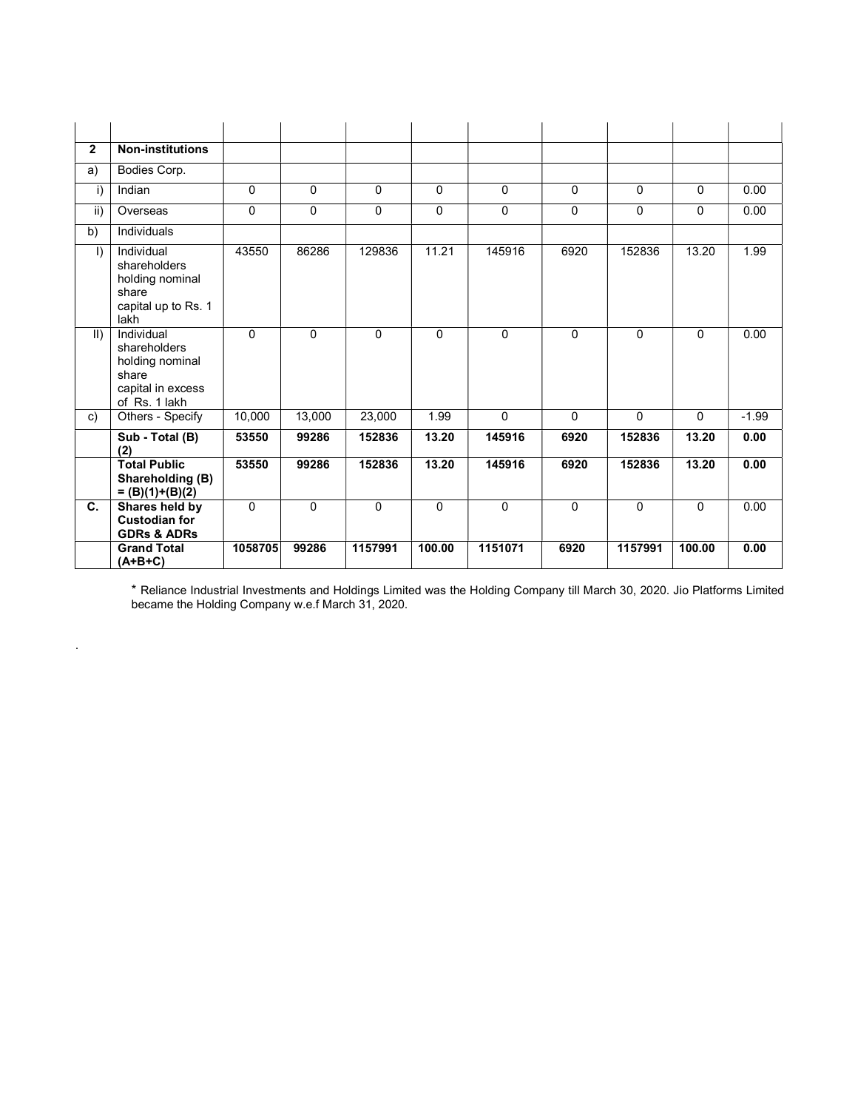| $\overline{2}$ | <b>Non-institutions</b>                                                                      |          |          |          |              |          |              |             |             |         |
|----------------|----------------------------------------------------------------------------------------------|----------|----------|----------|--------------|----------|--------------|-------------|-------------|---------|
| a)             | Bodies Corp.                                                                                 |          |          |          |              |          |              |             |             |         |
| i)             | Indian                                                                                       | $\Omega$ | $\Omega$ | 0        | $\Omega$     | $\Omega$ | $\Omega$     | $\Omega$    | $\Omega$    | 0.00    |
| ii)            | Overseas                                                                                     | $\Omega$ | $\Omega$ | 0        | $\Omega$     | $\Omega$ | $\Omega$     | $\Omega$    | 0           | 0.00    |
| b)             | Individuals                                                                                  |          |          |          |              |          |              |             |             |         |
| $\vert$        | Individual<br>shareholders<br>holding nominal<br>share<br>capital up to Rs. 1<br>lakh        | 43550    | 86286    | 129836   | 11.21        | 145916   | 6920         | 152836      | 13.20       | 1.99    |
| $\vert \vert$  | Individual<br>shareholders<br>holding nominal<br>share<br>capital in excess<br>of Rs. 1 lakh | $\Omega$ | $\Omega$ | $\Omega$ | $\mathbf{0}$ | $\Omega$ | $\Omega$     | $\Omega$    | $\Omega$    | 0.00    |
| c)             | Others - Specify                                                                             | 10,000   | 13,000   | 23,000   | 1.99         | $\Omega$ | $\mathbf{0}$ | $\mathbf 0$ | $\mathbf 0$ | $-1.99$ |
|                | Sub - Total (B)<br>(2)                                                                       | 53550    | 99286    | 152836   | 13.20        | 145916   | 6920         | 152836      | 13.20       | 0.00    |
|                | <b>Total Public</b><br>Shareholding (B)<br>$= (B)(1)+(B)(2)$                                 | 53550    | 99286    | 152836   | 13.20        | 145916   | 6920         | 152836      | 13.20       | 0.00    |
| C.             | Shares held by<br><b>Custodian for</b><br><b>GDRs &amp; ADRs</b>                             | $\Omega$ | $\Omega$ | $\Omega$ | $\Omega$     | $\Omega$ | $\Omega$     | $\Omega$    | $\Omega$    | 0.00    |
|                | <b>Grand Total</b><br>$(A+B+C)$                                                              | 1058705  | 99286    | 1157991  | 100.00       | 1151071  | 6920         | 1157991     | 100.00      | 0.00    |

\* Reliance Industrial Investments and Holdings Limited was the Holding Company till March 30, 2020. Jio Platforms Limited became the Holding Company w.e.f March 31, 2020.

.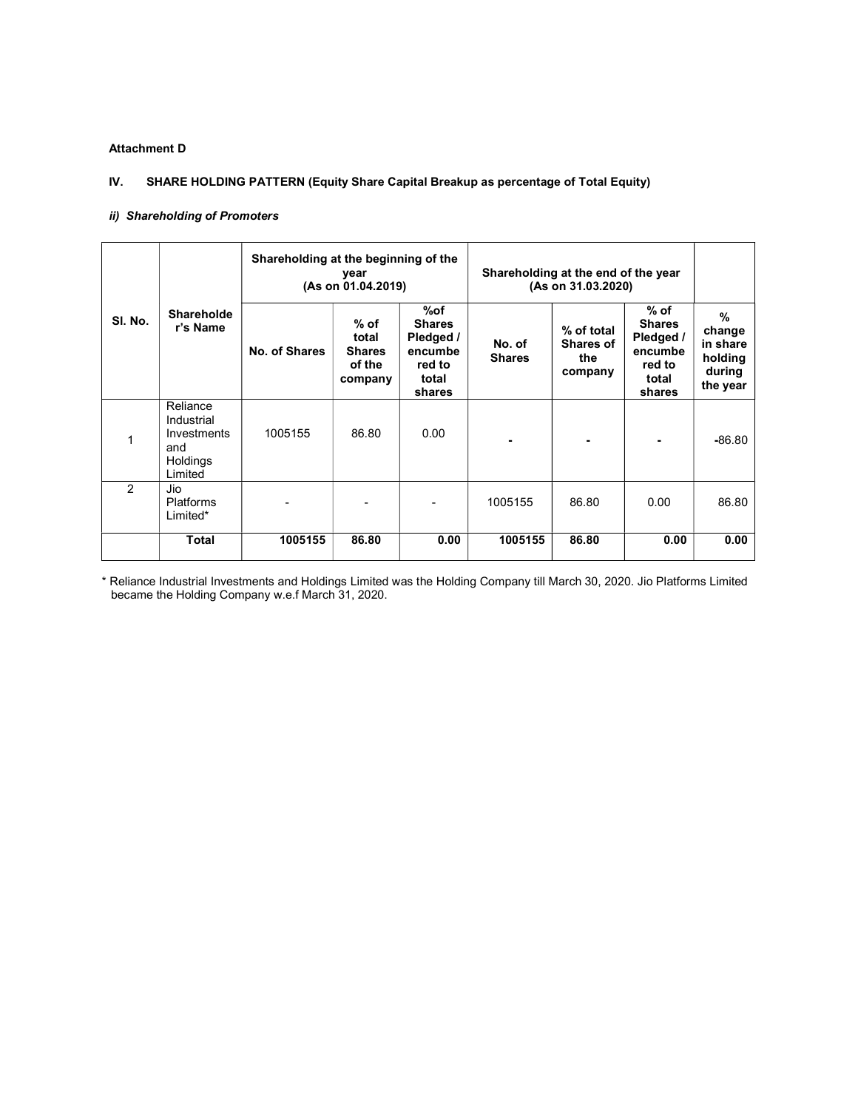#### Attachment D

#### IV. SHARE HOLDING PATTERN (Equity Share Capital Breakup as percentage of Total Equity)

#### ii) Shareholding of Promoters

|         |                                                                     | Shareholding at the beginning of the | year<br>(As on 01.04.2019)                          |                                                                           | Shareholding at the end of the year<br>(As on 31.03.2020) |                                                  |                                                                              |                                                                      |
|---------|---------------------------------------------------------------------|--------------------------------------|-----------------------------------------------------|---------------------------------------------------------------------------|-----------------------------------------------------------|--------------------------------------------------|------------------------------------------------------------------------------|----------------------------------------------------------------------|
| SI. No. | Shareholde<br>r's Name                                              | No. of Shares                        | % of<br>total<br><b>Shares</b><br>of the<br>company | %of<br><b>Shares</b><br>Pledged /<br>encumbe<br>red to<br>total<br>shares | No. of<br><b>Shares</b>                                   | % of total<br><b>Shares of</b><br>the<br>company | $%$ of<br><b>Shares</b><br>Pledged /<br>encumbe<br>red to<br>total<br>shares | $\frac{9}{6}$<br>change<br>in share<br>holding<br>during<br>the year |
| 1       | Reliance<br>Industrial<br>Investments<br>and<br>Holdings<br>Limited | 1005155                              | 86.80                                               | 0.00                                                                      |                                                           |                                                  |                                                                              | $-86.80$                                                             |
| 2       | Jio<br><b>Platforms</b><br>Limited*                                 |                                      |                                                     |                                                                           | 1005155                                                   | 86.80                                            | 0.00                                                                         | 86.80                                                                |
|         | <b>Total</b>                                                        | 1005155                              | 86.80                                               | 0.00                                                                      | 1005155                                                   | 86.80                                            | 0.00                                                                         | 0.00                                                                 |

\* Reliance Industrial Investments and Holdings Limited was the Holding Company till March 30, 2020. Jio Platforms Limited became the Holding Company w.e.f March 31, 2020.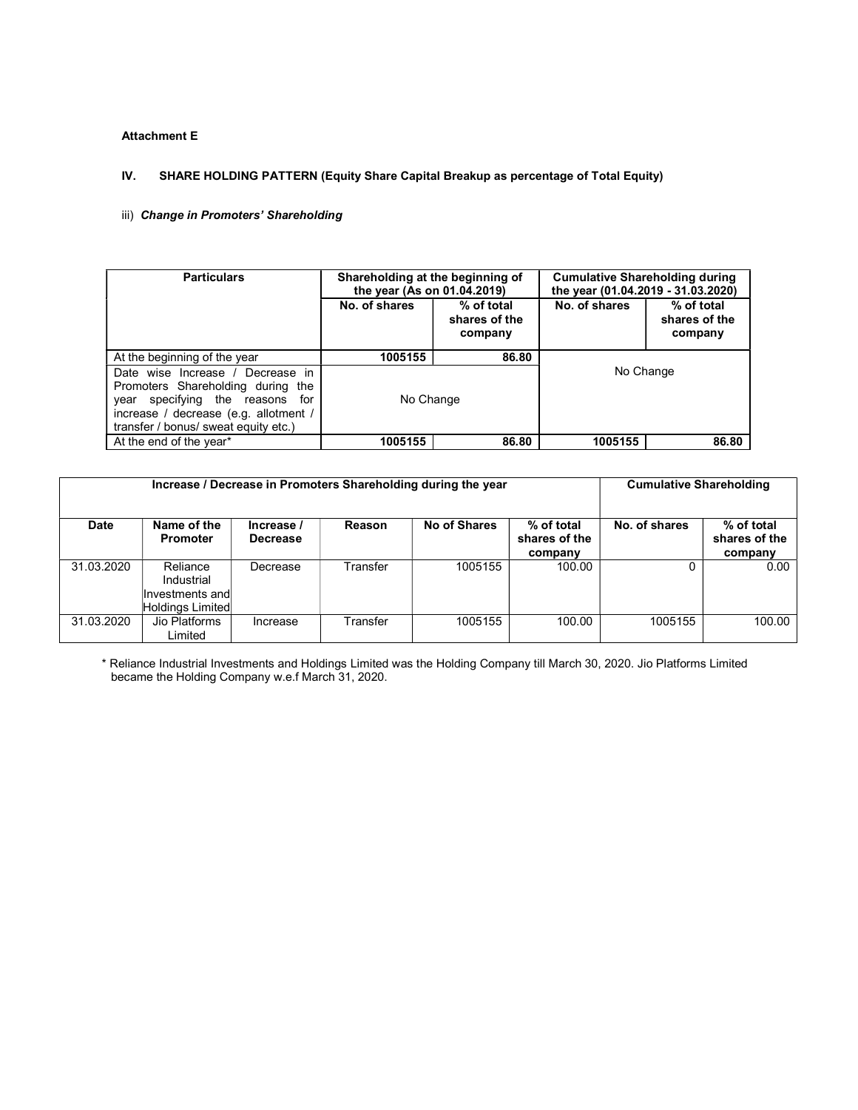#### Attachment E

#### IV. SHARE HOLDING PATTERN (Equity Share Capital Breakup as percentage of Total Equity)

#### iii) Change in Promoters' Shareholding

| <b>Particulars</b>                                                                                                                                                                              | Shareholding at the beginning of<br>the year (As on 01.04.2019) |                                        | <b>Cumulative Shareholding during</b><br>the year (01.04.2019 - 31.03.2020) |                                        |  |
|-------------------------------------------------------------------------------------------------------------------------------------------------------------------------------------------------|-----------------------------------------------------------------|----------------------------------------|-----------------------------------------------------------------------------|----------------------------------------|--|
|                                                                                                                                                                                                 | No. of shares                                                   | % of total<br>shares of the<br>company | No. of shares                                                               | % of total<br>shares of the<br>company |  |
| At the beginning of the year                                                                                                                                                                    | 1005155                                                         | 86.80                                  |                                                                             |                                        |  |
| Date wise Increase / Decrease in<br>Promoters Shareholding during the<br>specifying the reasons<br>for<br>vear<br>increase / decrease (e.g. allotment /<br>transfer / bonus/ sweat equity etc.) | No Change                                                       |                                        | No Change                                                                   |                                        |  |
| At the end of the year*                                                                                                                                                                         | 1005155                                                         | 86.80                                  | 1005155                                                                     | 86.80                                  |  |

|             | Increase / Decrease in Promoters Shareholding during the year | <b>Cumulative Shareholding</b> |          |              |                                        |               |                                        |
|-------------|---------------------------------------------------------------|--------------------------------|----------|--------------|----------------------------------------|---------------|----------------------------------------|
| <b>Date</b> | Name of the<br><b>Promoter</b>                                | Increase /<br><b>Decrease</b>  | Reason   | No of Shares | % of total<br>shares of the<br>company | No. of shares | % of total<br>shares of the<br>company |
| 31.03.2020  | Reliance<br>Industrial<br>Investments and<br>Holdings Limited | Decrease                       | Transfer | 1005155      | 100.00                                 |               | 0.00                                   |
| 31.03.2020  | Jio Platforms<br>Limited                                      | Increase                       | Transfer | 1005155      | 100.00                                 | 1005155       | 100.00                                 |

\* Reliance Industrial Investments and Holdings Limited was the Holding Company till March 30, 2020. Jio Platforms Limited became the Holding Company w.e.f March 31, 2020.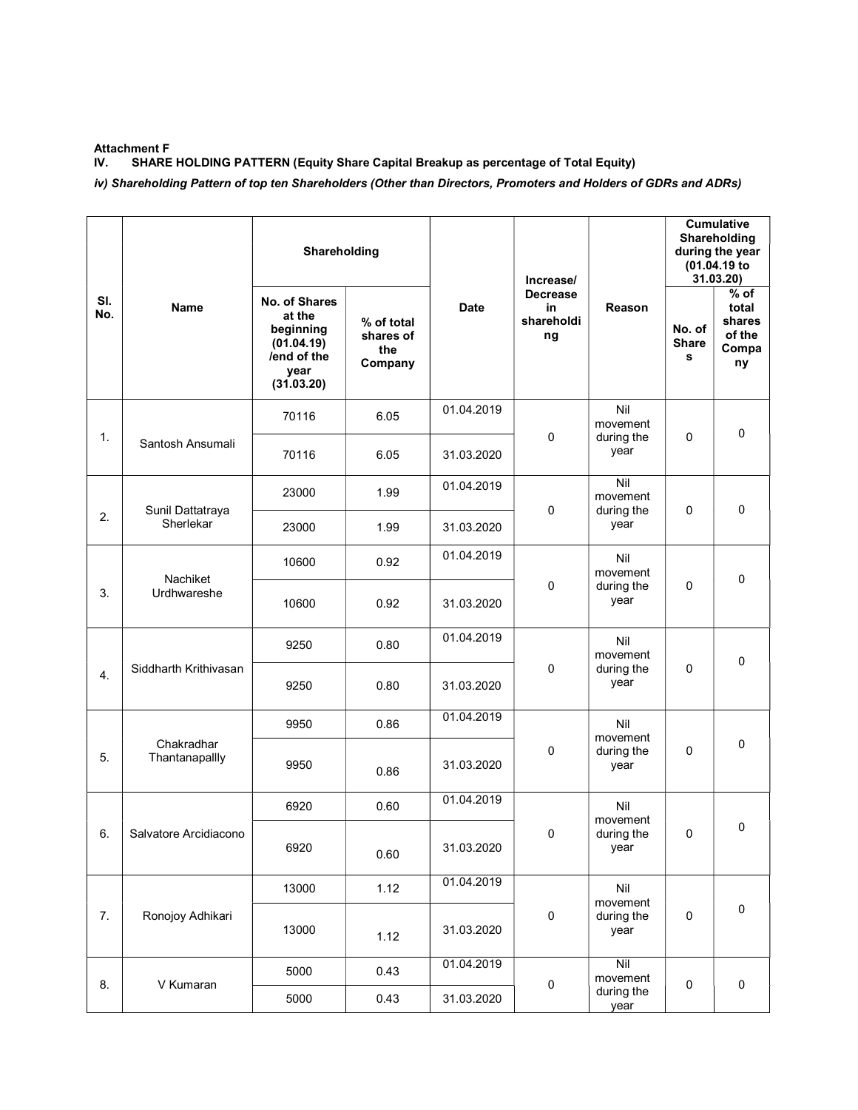#### Attachment F

IV. SHARE HOLDING PATTERN (Equity Share Capital Breakup as percentage of Total Equity)

iv) Shareholding Pattern of top ten Shareholders (Other than Directors, Promoters and Holders of GDRs and ADRs)

|            |                              | Shareholding                                                                            |                                           |                    | Increase/                                 |                               | <b>Cumulative</b><br>Shareholding<br>during the year<br>(01.04.19 to<br>31.03.20) |                                                    |
|------------|------------------------------|-----------------------------------------------------------------------------------------|-------------------------------------------|--------------------|-------------------------------------------|-------------------------------|-----------------------------------------------------------------------------------|----------------------------------------------------|
| SI.<br>No. | <b>Name</b>                  | No. of Shares<br>at the<br>beginning<br>(01.04.19)<br>/end of the<br>vear<br>(31.03.20) | % of total<br>shares of<br>the<br>Company | <b>Date</b>        | <b>Decrease</b><br>in<br>shareholdi<br>ng | Reason                        | No. of<br><b>Share</b><br>s                                                       | $%$ of<br>total<br>shares<br>of the<br>Compa<br>ny |
|            |                              | 70116                                                                                   | 6.05                                      | 01.04.2019         | 0                                         | Nil<br>movement               | 0                                                                                 | $\mathbf 0$                                        |
| 1.         | Santosh Ansumali             | 70116                                                                                   | 6.05                                      | 31.03.2020         |                                           | during the<br>year            |                                                                                   |                                                    |
|            | Sunil Dattatraya             | 23000                                                                                   | 1.99                                      | 01.04.2019         | $\mathbf 0$                               | Nil<br>movement<br>during the | 0                                                                                 | $\pmb{0}$                                          |
| 2.         | Sherlekar                    | 23000                                                                                   | 1.99                                      | 31.03.2020         |                                           | year                          |                                                                                   |                                                    |
|            | Nachiket                     | 10600                                                                                   | 0.92                                      | 01.04.2019         |                                           | Nil<br>movement               |                                                                                   | $\mathbf 0$                                        |
| 3.         | Urdhwareshe<br>10600<br>0.92 | 31.03.2020                                                                              | $\mathbf 0$                               | during the<br>year | 0                                         |                               |                                                                                   |                                                    |
|            |                              | 9250                                                                                    | 0.80                                      | 01.04.2019         |                                           | Nil<br>movement               | 0                                                                                 | $\mathbf 0$                                        |
| 4.         | Siddharth Krithivasan        | 9250                                                                                    | 0.80                                      | 31.03.2020         | 0                                         | during the<br>year            |                                                                                   |                                                    |
|            |                              | 9950                                                                                    | 0.86                                      | 01.04.2019         |                                           | Nil<br>movement               |                                                                                   |                                                    |
| 5.         | Chakradhar<br>Thantanapallly | 9950                                                                                    | 0.86                                      | 31.03.2020         | 0                                         | during the<br>year            | 0                                                                                 | $\mathbf 0$                                        |
|            |                              | 6920                                                                                    | 0.60                                      | 01.04.2019         |                                           | Nil<br>movement               |                                                                                   |                                                    |
| 6.         | Salvatore Arcidiacono        | 6920                                                                                    | 0.60                                      | 31.03.2020         | 0                                         | during the<br>year            | 0                                                                                 | 0                                                  |
|            |                              | 13000                                                                                   | 1.12                                      | 01.04.2019         |                                           | Nil<br>movement               |                                                                                   |                                                    |
| 7.         | Ronojoy Adhikari             | 13000                                                                                   | 1.12                                      | 31.03.2020         | $\pmb{0}$                                 | during the<br>year            | 0                                                                                 | $\pmb{0}$                                          |
| 8.         | V Kumaran                    | 5000                                                                                    | 0.43                                      | 01.04.2019         | $\pmb{0}$                                 | Nil<br>movement               |                                                                                   | $\pmb{0}$                                          |
|            |                              | 5000                                                                                    | 0.43                                      | 31.03.2020         |                                           | during the<br>year            | $\mathbf 0$                                                                       |                                                    |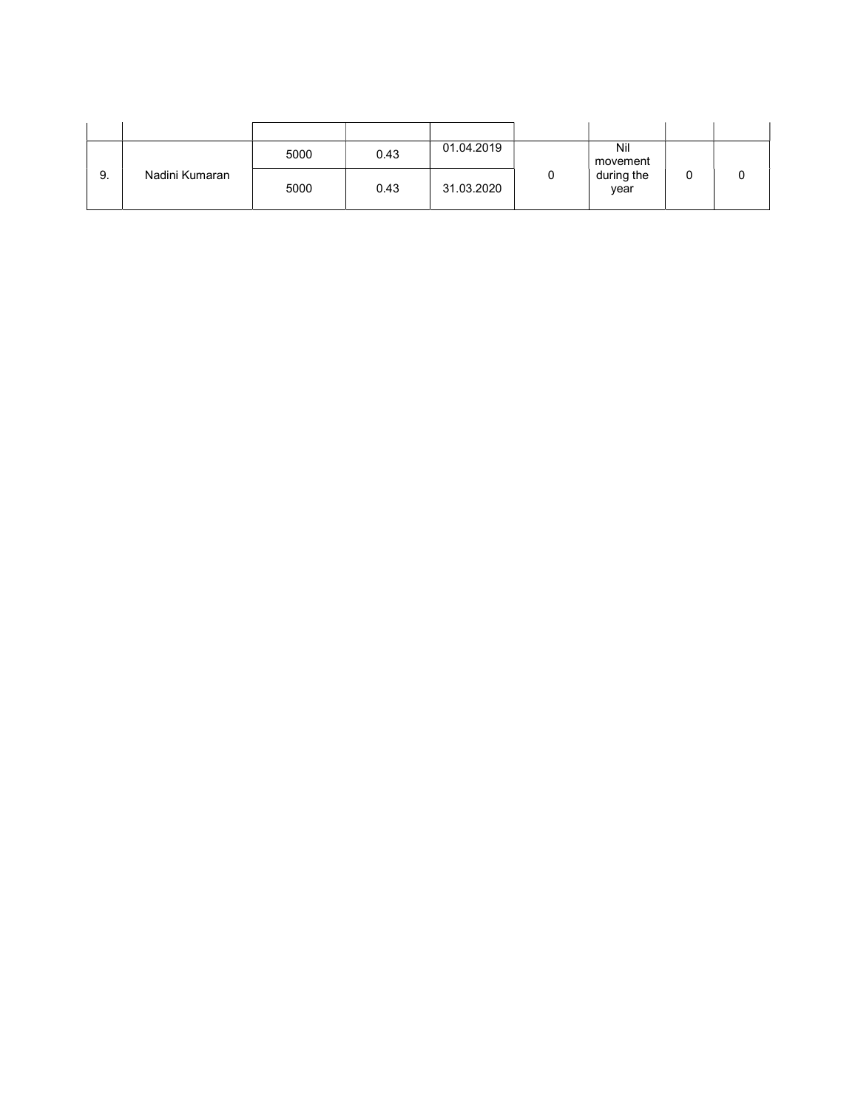|    |                | 5000 | 0.43 | 01.04.2019 | Nil<br>movement    |  |
|----|----------------|------|------|------------|--------------------|--|
| 9. | Nadini Kumaran | 5000 | 0.43 | 31.03.2020 | during the<br>year |  |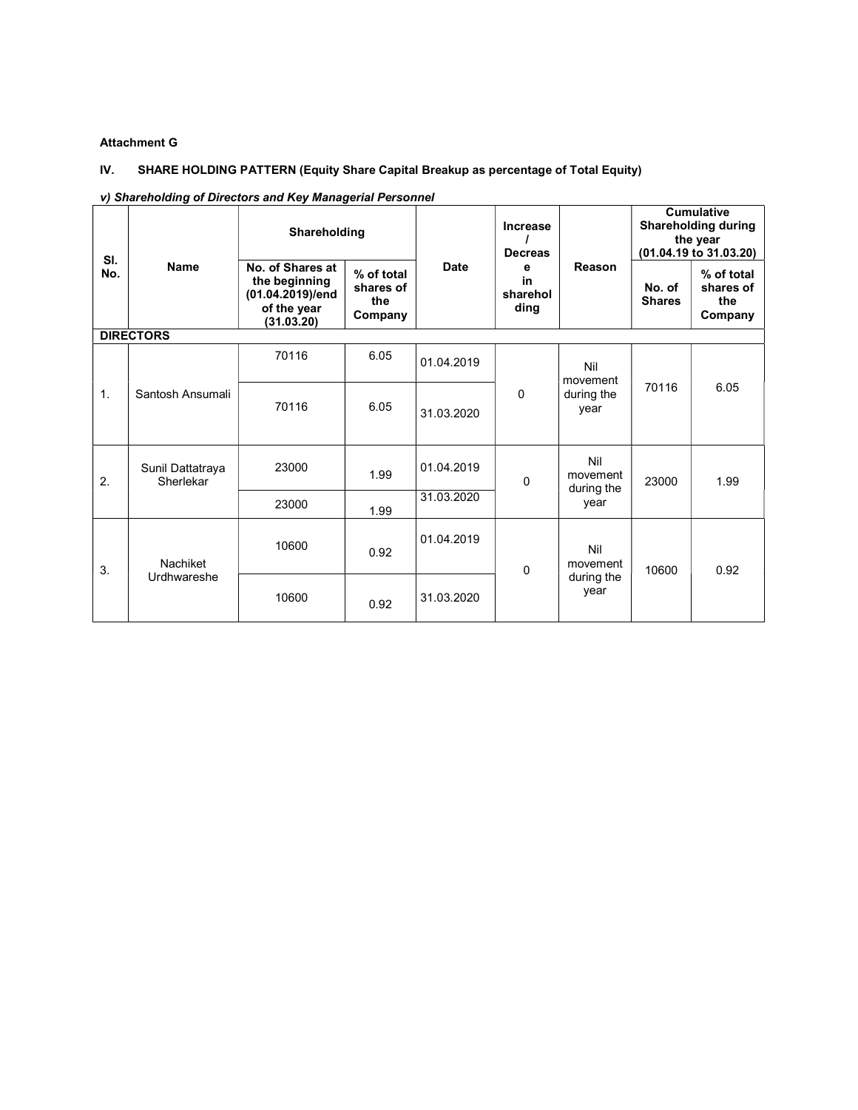## Attachment G

## IV. SHARE HOLDING PATTERN (Equity Share Capital Breakup as percentage of Total Equity)

#### v) Shareholding of Directors and Key Managerial Personnel

| SI.            | <b>Name</b>                   | Shareholding                                                                       |                                           |             | Increase<br><b>Decreas</b>  |                               | <b>Cumulative</b><br><b>Shareholding during</b><br>the year<br>(01.04.19 to 31.03.20) |                                           |
|----------------|-------------------------------|------------------------------------------------------------------------------------|-------------------------------------------|-------------|-----------------------------|-------------------------------|---------------------------------------------------------------------------------------|-------------------------------------------|
| No.            |                               | No. of Shares at<br>the beginning<br>(01.04.2019)/end<br>of the year<br>(31.03.20) | % of total<br>shares of<br>the<br>Company | <b>Date</b> | e<br>in<br>sharehol<br>ding | Reason                        | No. of<br><b>Shares</b>                                                               | % of total<br>shares of<br>the<br>Company |
|                | <b>DIRECTORS</b>              |                                                                                    |                                           |             |                             |                               |                                                                                       |                                           |
|                |                               | 70116                                                                              | 6.05                                      | 01.04.2019  |                             | Nil<br>movement               |                                                                                       | 6.05                                      |
| $\mathbf{1}$ . | Santosh Ansumali              | 70116                                                                              | 6.05                                      | 31.03.2020  | 0                           | during the<br>year            | 70116                                                                                 |                                           |
| 2.             | Sunil Dattatraya<br>Sherlekar | 23000                                                                              | 1.99                                      | 01.04.2019  | 0                           | Nil<br>movement<br>during the | 23000                                                                                 | 1.99                                      |
|                |                               | 23000                                                                              | 1.99                                      | 31.03.2020  |                             | year                          |                                                                                       |                                           |
| 3.             | Nachiket                      | 10600                                                                              | 0.92                                      | 01.04.2019  | $\mathbf{0}$                | Nil<br>movement               | 10600                                                                                 | 0.92                                      |
|                | Urdhwareshe                   | 10600                                                                              | 0.92                                      | 31.03.2020  |                             | during the<br>year            |                                                                                       |                                           |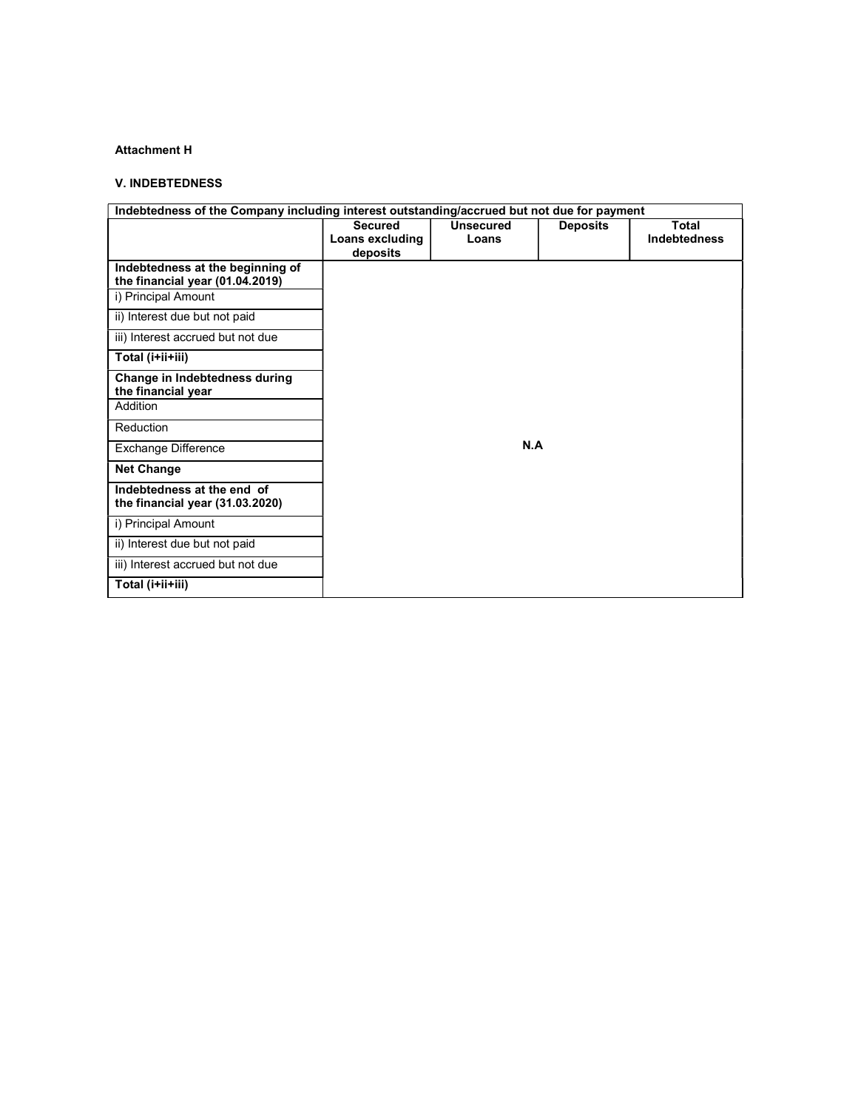## Attachment H

#### V. INDEBTEDNESS

| Indebtedness of the Company including interest outstanding/accrued but not due for payment |                 |                  |                 |                     |  |  |  |
|--------------------------------------------------------------------------------------------|-----------------|------------------|-----------------|---------------------|--|--|--|
|                                                                                            | <b>Secured</b>  | <b>Unsecured</b> | <b>Deposits</b> | <b>Total</b>        |  |  |  |
|                                                                                            | Loans excluding | Loans            |                 | <b>Indebtedness</b> |  |  |  |
|                                                                                            | deposits        |                  |                 |                     |  |  |  |
| Indebtedness at the beginning of                                                           |                 |                  |                 |                     |  |  |  |
| the financial year (01.04.2019)                                                            |                 |                  |                 |                     |  |  |  |
| i) Principal Amount                                                                        |                 |                  |                 |                     |  |  |  |
| ii) Interest due but not paid                                                              |                 |                  |                 |                     |  |  |  |
| iii) Interest accrued but not due                                                          |                 |                  |                 |                     |  |  |  |
| Total (i+ii+iii)                                                                           |                 |                  |                 |                     |  |  |  |
| Change in Indebtedness during<br>the financial year                                        |                 |                  |                 |                     |  |  |  |
|                                                                                            |                 |                  |                 |                     |  |  |  |
| Addition                                                                                   |                 |                  |                 |                     |  |  |  |
| Reduction                                                                                  |                 |                  |                 |                     |  |  |  |
| Exchange Difference                                                                        |                 | N.A              |                 |                     |  |  |  |
| <b>Net Change</b>                                                                          |                 |                  |                 |                     |  |  |  |
| Indebtedness at the end of<br>the financial year (31.03.2020)                              |                 |                  |                 |                     |  |  |  |
| i) Principal Amount                                                                        |                 |                  |                 |                     |  |  |  |
| ii) Interest due but not paid                                                              |                 |                  |                 |                     |  |  |  |
| iii) Interest accrued but not due                                                          |                 |                  |                 |                     |  |  |  |
| Total (i+ii+iii)                                                                           |                 |                  |                 |                     |  |  |  |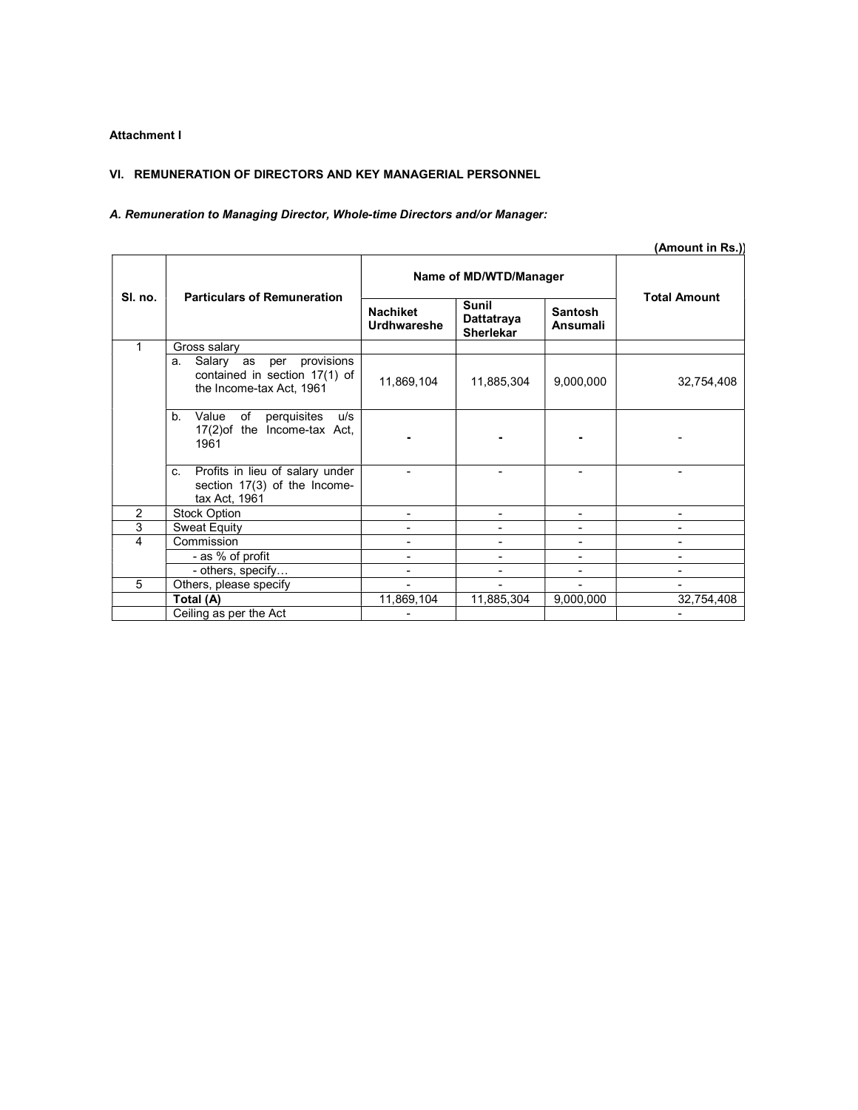## Attachment I

#### VI. REMUNERATION OF DIRECTORS AND KEY MANAGERIAL PERSONNEL

## A. Remuneration to Managing Director, Whole-time Directors and/or Manager:

|                |                                                                                                |                                       |                                                |                                   | (Amount in Rs.))    |  |
|----------------|------------------------------------------------------------------------------------------------|---------------------------------------|------------------------------------------------|-----------------------------------|---------------------|--|
|                |                                                                                                |                                       | Name of MD/WTD/Manager                         |                                   |                     |  |
| SI. no.        | <b>Particulars of Remuneration</b>                                                             | <b>Nachiket</b><br><b>Urdhwareshe</b> | <b>Sunil</b><br>Dattatraya<br><b>Sherlekar</b> | <b>Santosh</b><br><b>Ansumali</b> | <b>Total Amount</b> |  |
| 1              | Gross salary                                                                                   |                                       |                                                |                                   |                     |  |
|                | provisions<br>Salary as per<br>а.<br>contained in section 17(1) of<br>the Income-tax Act, 1961 | 11,869,104                            | 11,885,304                                     | 9,000,000                         | 32,754,408          |  |
|                | of<br>$b_{-}$<br>Value<br>perquisites<br>u/s<br>17(2) of the Income-tax Act,<br>1961           |                                       |                                                |                                   |                     |  |
|                | Profits in lieu of salary under<br>C.<br>section 17(3) of the Income-<br>tax Act, 1961         |                                       |                                                |                                   |                     |  |
| 2              | <b>Stock Option</b>                                                                            |                                       |                                                |                                   |                     |  |
| $\overline{3}$ | <b>Sweat Equity</b>                                                                            |                                       |                                                |                                   |                     |  |
| 4              | Commission                                                                                     |                                       |                                                |                                   |                     |  |
|                | - as % of profit                                                                               |                                       |                                                |                                   |                     |  |
|                | - others, specify                                                                              |                                       |                                                |                                   |                     |  |
| 5              | Others, please specify                                                                         |                                       |                                                |                                   |                     |  |
|                | Total (A)                                                                                      | 11,869,104                            | 11,885,304                                     | 9,000,000                         | 32,754,408          |  |
|                | Ceiling as per the Act                                                                         |                                       |                                                |                                   |                     |  |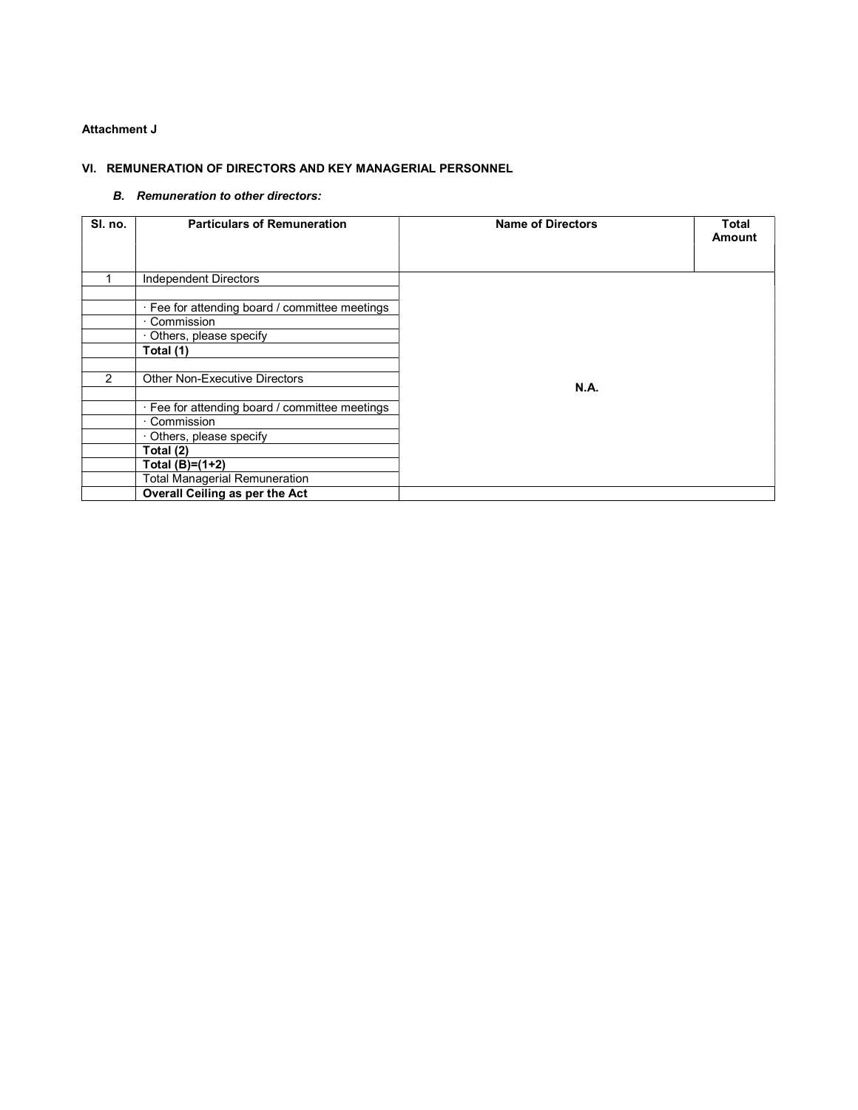#### Attachment J

#### VI. REMUNERATION OF DIRECTORS AND KEY MANAGERIAL PERSONNEL

#### B. Remuneration to other directors:

| SI. no. | <b>Particulars of Remuneration</b>             | <b>Name of Directors</b> | Total<br><b>Amount</b> |
|---------|------------------------------------------------|--------------------------|------------------------|
|         | Independent Directors                          |                          |                        |
|         |                                                |                          |                        |
|         | · Fee for attending board / committee meetings |                          |                        |
|         | Commission                                     |                          |                        |
|         | Others, please specify                         |                          |                        |
|         | Total (1)                                      |                          |                        |
|         |                                                |                          |                        |
| 2       | <b>Other Non-Executive Directors</b>           |                          |                        |
|         |                                                | <b>N.A.</b>              |                        |
|         | · Fee for attending board / committee meetings |                          |                        |
|         | Commission                                     |                          |                        |
|         | Others, please specify                         |                          |                        |
|         | Total (2)                                      |                          |                        |
|         | Total $(B)=(1+2)$                              |                          |                        |
|         | Total Managerial Remuneration                  |                          |                        |
|         | Overall Ceiling as per the Act                 |                          |                        |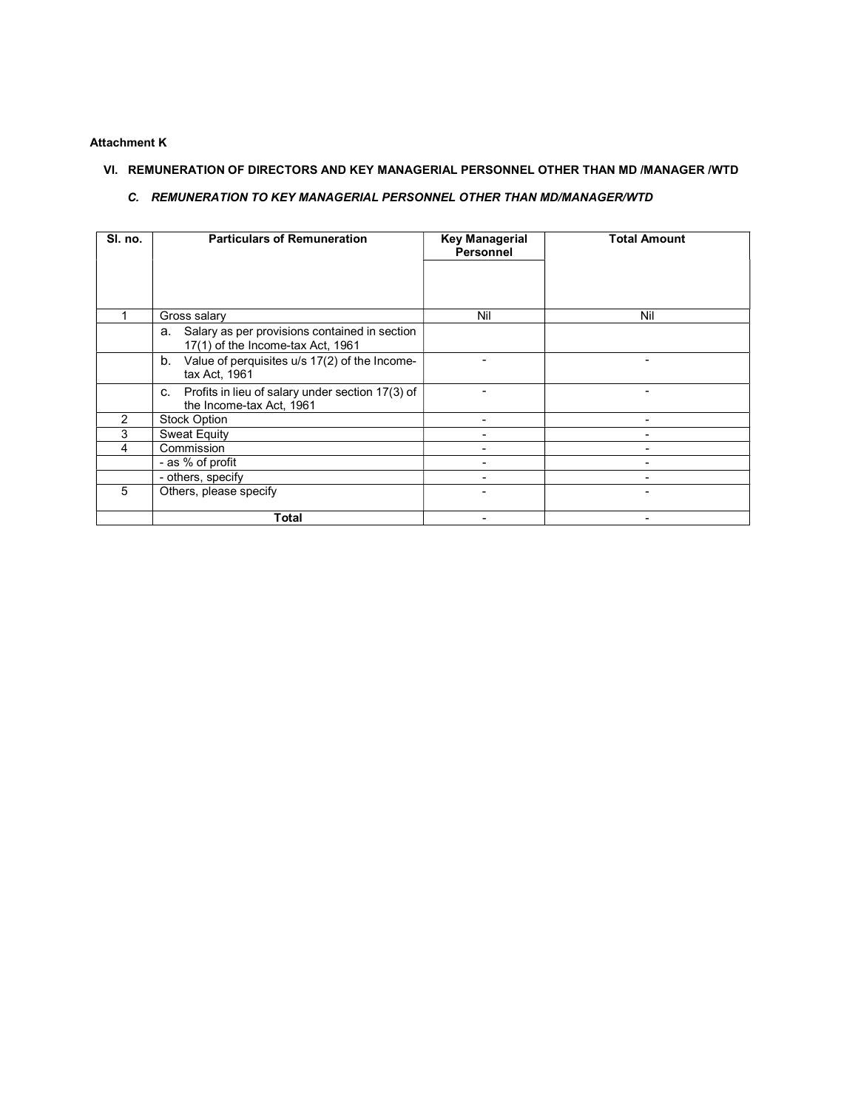#### Attachment K

## VI. REMUNERATION OF DIRECTORS AND KEY MANAGERIAL PERSONNEL OTHER THAN MD /MANAGER /WTD

#### C. REMUNERATION TO KEY MANAGERIAL PERSONNEL OTHER THAN MD/MANAGER/WTD

| SI. no. | <b>Particulars of Remuneration</b>                                                       | <b>Key Managerial</b><br><b>Personnel</b> | <b>Total Amount</b> |  |
|---------|------------------------------------------------------------------------------------------|-------------------------------------------|---------------------|--|
|         |                                                                                          |                                           |                     |  |
|         |                                                                                          |                                           |                     |  |
|         | Gross salary                                                                             | Nil                                       | Nil                 |  |
|         | Salary as per provisions contained in section<br>а.<br>17(1) of the Income-tax Act, 1961 |                                           |                     |  |
|         | Value of perquisites u/s 17(2) of the Income-<br>b.<br>tax Act, 1961                     |                                           |                     |  |
|         | Profits in lieu of salary under section 17(3) of<br>C.<br>the Income-tax Act, 1961       |                                           |                     |  |
| 2       | <b>Stock Option</b>                                                                      |                                           |                     |  |
| 3       | <b>Sweat Equity</b>                                                                      |                                           |                     |  |
| 4       | Commission                                                                               |                                           |                     |  |
|         | - as % of profit                                                                         |                                           |                     |  |
|         | - others, specify                                                                        | -                                         |                     |  |
| 5       | Others, please specify                                                                   |                                           |                     |  |
|         | Total                                                                                    |                                           |                     |  |